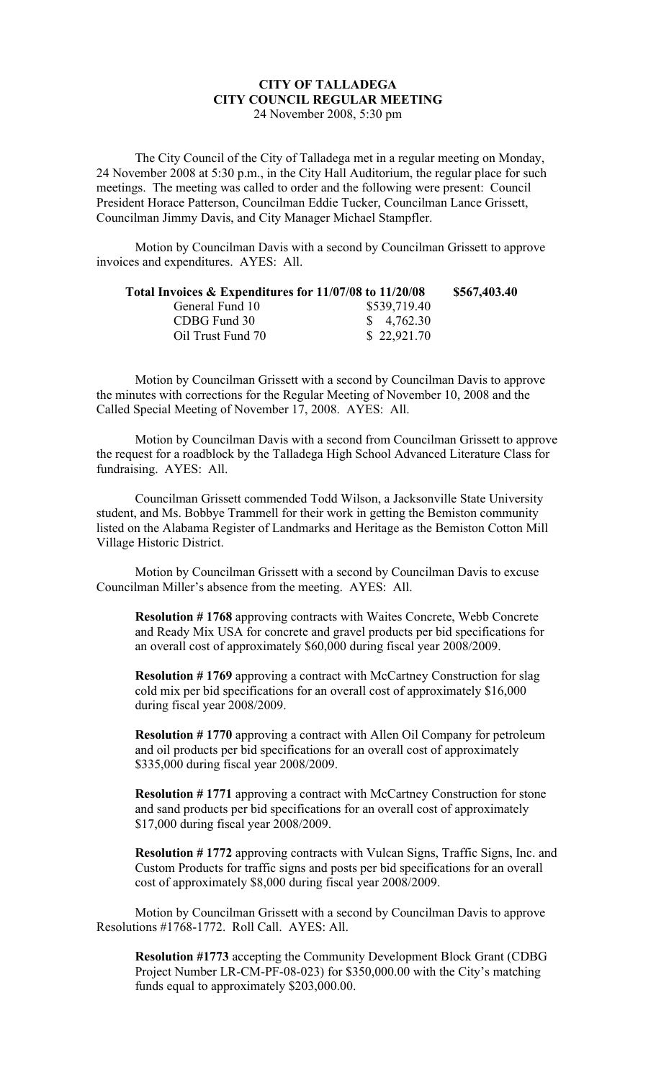## **CITY OF TALLADEGA CITY COUNCIL REGULAR MEETING** 24 November 2008, 5:30 pm

The City Council of the City of Talladega met in a regular meeting on Monday, 24 November 2008 at 5:30 p.m., in the City Hall Auditorium, the regular place for such meetings. The meeting was called to order and the following were present: Council President Horace Patterson, Councilman Eddie Tucker, Councilman Lance Grissett, Councilman Jimmy Davis, and City Manager Michael Stampfler.

Motion by Councilman Davis with a second by Councilman Grissett to approve invoices and expenditures. AYES: All.

| Total Invoices & Expenditures for 11/07/08 to 11/20/08 |                         | \$567,403.40 |
|--------------------------------------------------------|-------------------------|--------------|
| General Fund 10                                        | \$539,719.40            |              |
| CDBG Fund 30                                           | $\frac{\$}{9}$ 4,762.30 |              |
| Oil Trust Fund 70                                      | \$22,921.70             |              |

Motion by Councilman Grissett with a second by Councilman Davis to approve the minutes with corrections for the Regular Meeting of November 10, 2008 and the Called Special Meeting of November 17, 2008. AYES: All.

Motion by Councilman Davis with a second from Councilman Grissett to approve the request for a roadblock by the Talladega High School Advanced Literature Class for fundraising. AYES: All.

Councilman Grissett commended Todd Wilson, a Jacksonville State University student, and Ms. Bobbye Trammell for their work in getting the Bemiston community listed on the Alabama Register of Landmarks and Heritage as the Bemiston Cotton Mill Village Historic District.

Motion by Councilman Grissett with a second by Councilman Davis to excuse Councilman Miller's absence from the meeting. AYES: All.

**Resolution # 1768** approving contracts with Waites Concrete, Webb Concrete and Ready Mix USA for concrete and gravel products per bid specifications for an overall cost of approximately \$60,000 during fiscal year 2008/2009.

**Resolution #1769** approving a contract with McCartney Construction for slag cold mix per bid specifications for an overall cost of approximately \$16,000 during fiscal year 2008/2009.

**Resolution # 1770** approving a contract with Allen Oil Company for petroleum and oil products per bid specifications for an overall cost of approximately \$335,000 during fiscal year 2008/2009.

**Resolution # 1771** approving a contract with McCartney Construction for stone and sand products per bid specifications for an overall cost of approximately \$17,000 during fiscal year 2008/2009.

**Resolution # 1772** approving contracts with Vulcan Signs, Traffic Signs, Inc. and Custom Products for traffic signs and posts per bid specifications for an overall cost of approximately \$8,000 during fiscal year 2008/2009.

Motion by Councilman Grissett with a second by Councilman Davis to approve Resolutions #1768-1772. Roll Call. AYES: All.

**Resolution #1773** accepting the Community Development Block Grant (CDBG Project Number LR-CM-PF-08-023) for \$350,000.00 with the City's matching funds equal to approximately \$203,000.00.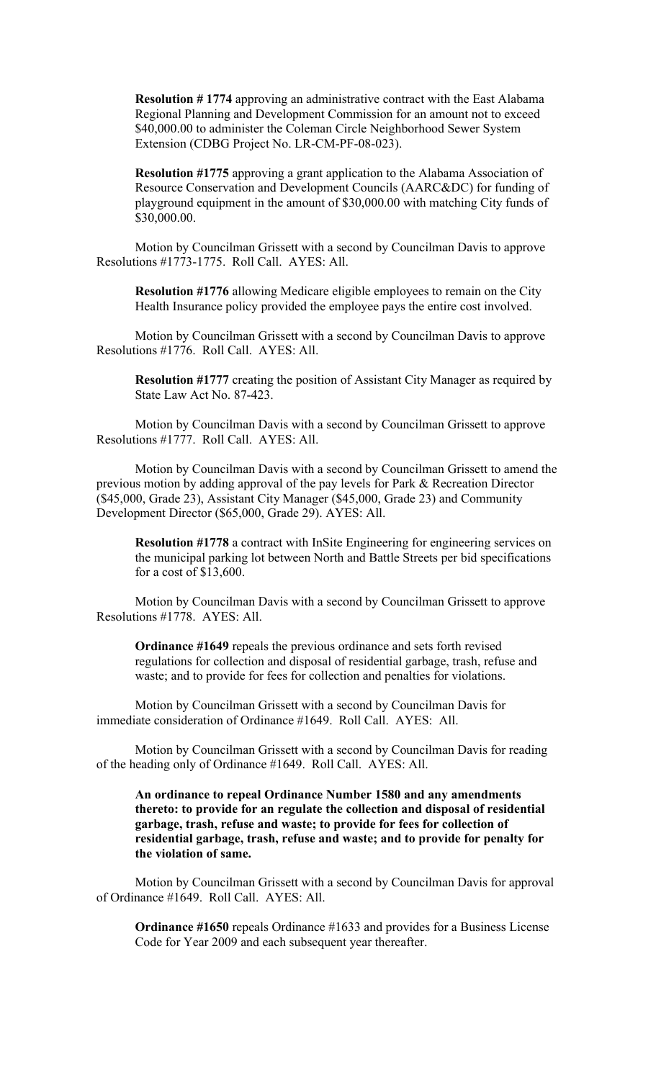**Resolution # 1774** approving an administrative contract with the East Alabama Regional Planning and Development Commission for an amount not to exceed \$40,000.00 to administer the Coleman Circle Neighborhood Sewer System Extension (CDBG Project No. LR-CM-PF-08-023).

**Resolution #1775** approving a grant application to the Alabama Association of Resource Conservation and Development Councils (AARC&DC) for funding of playground equipment in the amount of \$30,000.00 with matching City funds of \$30,000.00.

Motion by Councilman Grissett with a second by Councilman Davis to approve Resolutions #1773-1775. Roll Call. AYES: All.

**Resolution #1776** allowing Medicare eligible employees to remain on the City Health Insurance policy provided the employee pays the entire cost involved.

Motion by Councilman Grissett with a second by Councilman Davis to approve Resolutions #1776. Roll Call. AYES: All.

**Resolution #1777** creating the position of Assistant City Manager as required by State Law Act No. 87-423.

Motion by Councilman Davis with a second by Councilman Grissett to approve Resolutions #1777. Roll Call. AYES: All.

Motion by Councilman Davis with a second by Councilman Grissett to amend the previous motion by adding approval of the pay levels for Park & Recreation Director (\$45,000, Grade 23), Assistant City Manager (\$45,000, Grade 23) and Community Development Director (\$65,000, Grade 29). AYES: All.

**Resolution #1778** a contract with InSite Engineering for engineering services on the municipal parking lot between North and Battle Streets per bid specifications for a cost of \$13,600.

Motion by Councilman Davis with a second by Councilman Grissett to approve Resolutions #1778. AYES: All.

**Ordinance #1649** repeals the previous ordinance and sets forth revised regulations for collection and disposal of residential garbage, trash, refuse and waste; and to provide for fees for collection and penalties for violations.

Motion by Councilman Grissett with a second by Councilman Davis for immediate consideration of Ordinance #1649. Roll Call. AYES: All.

Motion by Councilman Grissett with a second by Councilman Davis for reading of the heading only of Ordinance #1649. Roll Call. AYES: All.

**An ordinance to repeal Ordinance Number 1580 and any amendments thereto: to provide for an regulate the collection and disposal of residential garbage, trash, refuse and waste; to provide for fees for collection of residential garbage, trash, refuse and waste; and to provide for penalty for the violation of same.**

Motion by Councilman Grissett with a second by Councilman Davis for approval of Ordinance #1649. Roll Call. AYES: All.

**Ordinance #1650** repeals Ordinance #1633 and provides for a Business License Code for Year 2009 and each subsequent year thereafter.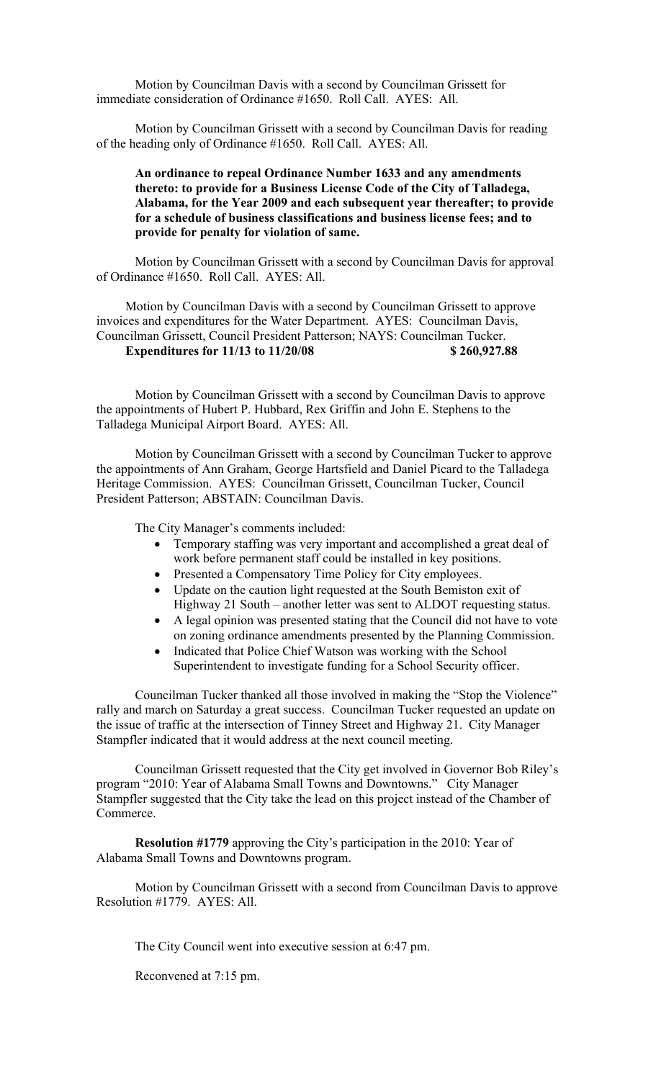Motion by Councilman Davis with a second by Councilman Grissett for immediate consideration of Ordinance #1650. Roll Call. AYES: All.

Motion by Councilman Grissett with a second by Councilman Davis for reading of the heading only of Ordinance #1650. Roll Call. AYES: All.

## **An ordinance to repeal Ordinance Number 1633 and any amendments thereto: to provide for a Business License Code of the City of Talladega, Alabama, for the Year 2009 and each subsequent year thereafter; to provide for a schedule of business classifications and business license fees; and to provide for penalty for violation of same.**

Motion by Councilman Grissett with a second by Councilman Davis for approval of Ordinance #1650. Roll Call. AYES: All.

Motion by Councilman Davis with a second by Councilman Grissett to approve invoices and expenditures for the Water Department. AYES: Councilman Davis, Councilman Grissett, Council President Patterson; NAYS: Councilman Tucker. **Expenditures for 11/13 to 11/20/08 \$ 260,927.88**

Motion by Councilman Grissett with a second by Councilman Davis to approve the appointments of Hubert P. Hubbard, Rex Griffin and John E. Stephens to the Talladega Municipal Airport Board. AYES: All.

Motion by Councilman Grissett with a second by Councilman Tucker to approve the appointments of Ann Graham, George Hartsfield and Daniel Picard to the Talladega Heritage Commission. AYES: Councilman Grissett, Councilman Tucker, Council President Patterson; ABSTAIN: Councilman Davis.

The City Manager's comments included:

- Temporary staffing was very important and accomplished a great deal of work before permanent staff could be installed in key positions.
- Presented a Compensatory Time Policy for City employees.
- Update on the caution light requested at the South Bemiston exit of Highway 21 South – another letter was sent to ALDOT requesting status.
- A legal opinion was presented stating that the Council did not have to vote on zoning ordinance amendments presented by the Planning Commission.
- Indicated that Police Chief Watson was working with the School Superintendent to investigate funding for a School Security officer.

Councilman Tucker thanked all those involved in making the "Stop the Violence" rally and march on Saturday a great success. Councilman Tucker requested an update on the issue of traffic at the intersection of Tinney Street and Highway 21. City Manager Stampfler indicated that it would address at the next council meeting.

Councilman Grissett requested that the City get involved in Governor Bob Riley's program "2010: Year of Alabama Small Towns and Downtowns." City Manager Stampfler suggested that the City take the lead on this project instead of the Chamber of Commerce.

**Resolution #1779** approving the City's participation in the 2010: Year of Alabama Small Towns and Downtowns program.

Motion by Councilman Grissett with a second from Councilman Davis to approve Resolution #1779. AYES: All.

The City Council went into executive session at 6:47 pm.

Reconvened at 7:15 pm.